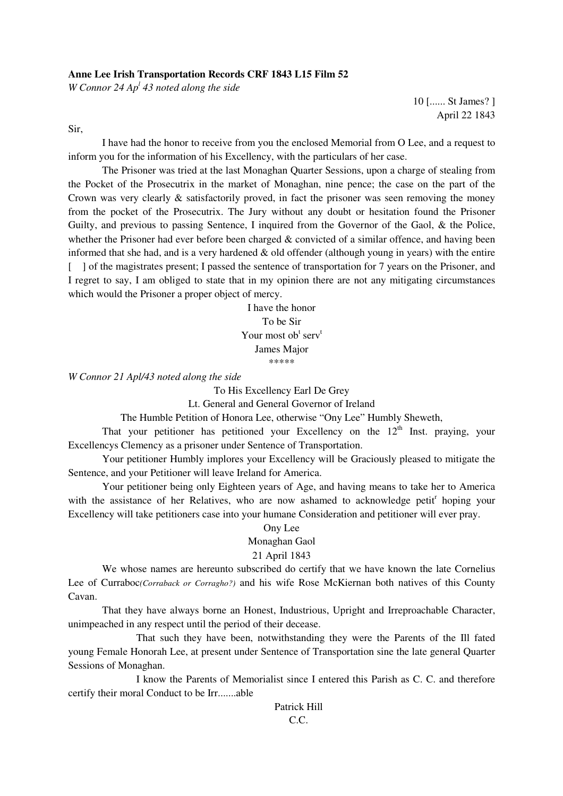### **Anne Lee Irish Transportation Records CRF 1843 L15 Film 52**

*W Connor 24 Ap<sup>l</sup> 43 noted along the side* 

10 [...... St James? ] April 22 1843

Sir,

 I have had the honor to receive from you the enclosed Memorial from O Lee, and a request to inform you for the information of his Excellency, with the particulars of her case.

 The Prisoner was tried at the last Monaghan Quarter Sessions, upon a charge of stealing from the Pocket of the Prosecutrix in the market of Monaghan, nine pence; the case on the part of the Crown was very clearly & satisfactorily proved, in fact the prisoner was seen removing the money from the pocket of the Prosecutrix. The Jury without any doubt or hesitation found the Prisoner Guilty, and previous to passing Sentence, I inquired from the Governor of the Gaol, & the Police, whether the Prisoner had ever before been charged & convicted of a similar offence, and having been informed that she had, and is a very hardened & old offender (although young in years) with the entire [ ] of the magistrates present; I passed the sentence of transportation for 7 years on the Prisoner, and I regret to say, I am obliged to state that in my opinion there are not any mitigating circumstances which would the Prisoner a proper object of mercy.

> I have the honor To be Sir Your most ob<sup>t</sup> serv<sup>t</sup> James Major \*\*\*\*\*

*W Connor 21 Apl/43 noted along the side* 

To His Excellency Earl De Grey

Lt. General and General Governor of Ireland

The Humble Petition of Honora Lee, otherwise "Ony Lee" Humbly Sheweth,

That your petitioner has petitioned your Excellency on the  $12<sup>th</sup>$  Inst. praying, your Excellencys Clemency as a prisoner under Sentence of Transportation.

 Your petitioner Humbly implores your Excellency will be Graciously pleased to mitigate the Sentence, and your Petitioner will leave Ireland for America.

 Your petitioner being only Eighteen years of Age, and having means to take her to America with the assistance of her Relatives, who are now ashamed to acknowledge petit<sup>r</sup> hoping your Excellency will take petitioners case into your humane Consideration and petitioner will ever pray.

# Ony Lee Monaghan Gaol 21 April 1843

 We whose names are hereunto subscribed do certify that we have known the late Cornelius Lee of Curraboc*(Corraback or Corragho?)* and his wife Rose McKiernan both natives of this County Cavan.

That they have always borne an Honest, Industrious, Upright and Irreproachable Character, unimpeached in any respect until the period of their decease.

 That such they have been, notwithstanding they were the Parents of the Ill fated young Female Honorah Lee, at present under Sentence of Transportation sine the late general Quarter Sessions of Monaghan.

 I know the Parents of Memorialist since I entered this Parish as C. C. and therefore certify their moral Conduct to be Irr.......able

Patrick Hill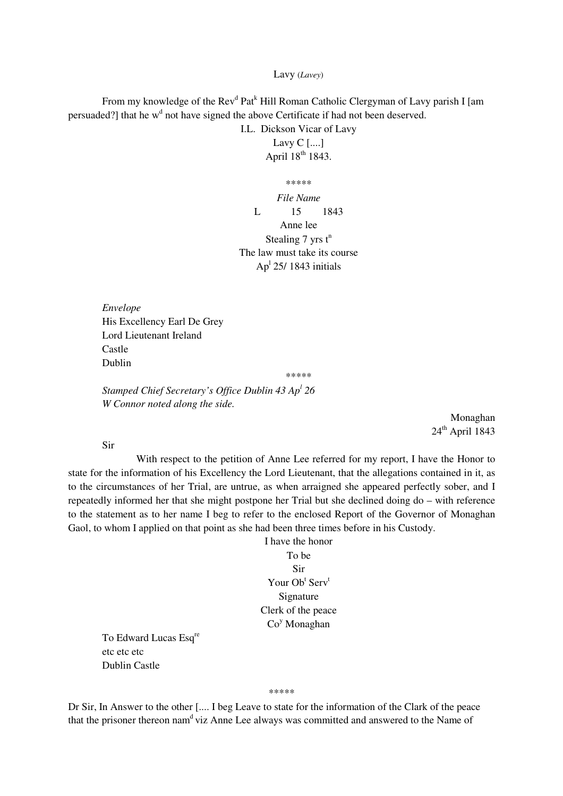#### Lavy (*Lavey*)

From my knowledge of the Rev<sup>d</sup> Pat<sup>k</sup> Hill Roman Catholic Clergyman of Lavy parish I [am persuaded?] that he  $w<sup>d</sup>$  not have signed the above Certificate if had not been deserved.

I.L. Dickson Vicar of Lavy Lavy C [....] April 18<sup>th</sup> 1843.

\*\*\*\*\* *File Name*  L 15 1843 Anne lee Stealing  $7$  yrs  $t^n$ The law must take its course Ap<sup>1</sup> 25/ 1843 initials

*Envelope*  His Excellency Earl De Grey Lord Lieutenant Ireland Castle Dublin

\*\*\*\*\*

*Stamped Chief Secretary's Office Dublin 43 Ap<sup>l</sup> 26 W Connor noted along the side.* 

> Monaghan  $24^{\text{th}}$  April 1843

Sir

 With respect to the petition of Anne Lee referred for my report, I have the Honor to state for the information of his Excellency the Lord Lieutenant, that the allegations contained in it, as to the circumstances of her Trial, are untrue, as when arraigned she appeared perfectly sober, and I repeatedly informed her that she might postpone her Trial but she declined doing do – with reference to the statement as to her name I beg to refer to the enclosed Report of the Governor of Monaghan Gaol, to whom I applied on that point as she had been three times before in his Custody.

> I have the honor To be Sir Your Ob<sup>t</sup> Serv<sup>t</sup> Signature Clerk of the peace Co<sup>y</sup> Monaghan

To Edward Lucas Esq<sup>re</sup> etc etc etc Dublin Castle

\*\*\*\*\*

Dr Sir, In Answer to the other [.... I beg Leave to state for the information of the Clark of the peace that the prisoner thereon nam<sup>d</sup> viz Anne Lee always was committed and answered to the Name of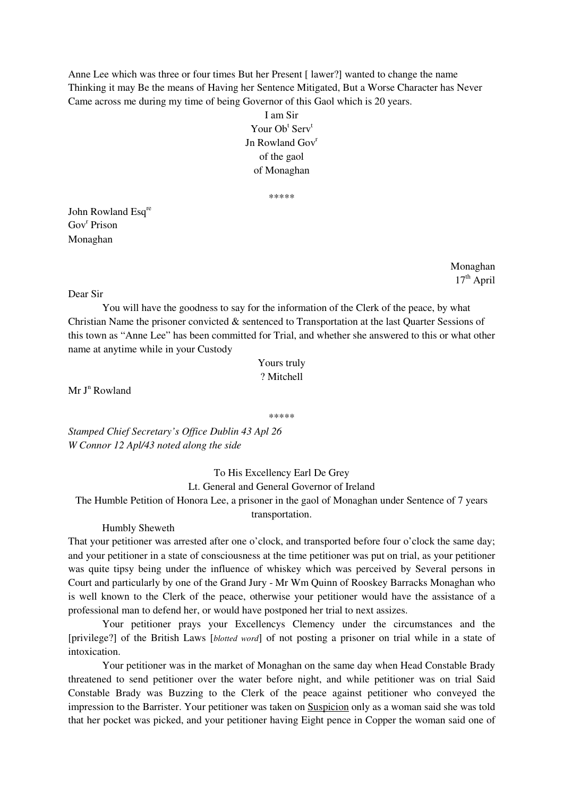Anne Lee which was three or four times But her Present [ lawer?] wanted to change the name Thinking it may Be the means of Having her Sentence Mitigated, But a Worse Character has Never Came across me during my time of being Governor of this Gaol which is 20 years.

> I am Sir Your Ob<sup>t</sup> Serv<sup>t</sup> In Rowland Gov<sup>r</sup> of the gaol of Monaghan

> > \*\*\*\*\*

John Rowland Esq<sup>re</sup> Gov<sup>r</sup> Prison Monaghan

> Monaghan  $17<sup>th</sup>$  April

#### Dear Sir

 You will have the goodness to say for the information of the Clerk of the peace, by what Christian Name the prisoner convicted & sentenced to Transportation at the last Quarter Sessions of this town as "Anne Lee" has been committed for Trial, and whether she answered to this or what other name at anytime while in your Custody

| Yours truly |  |
|-------------|--|
| ? Mitchell  |  |

 $Mr J<sup>n</sup> Rowland$ 

\*\*\*\*\*

*Stamped Chief Secretary's Office Dublin 43 Apl 26 W Connor 12 Apl/43 noted along the side* 

# To His Excellency Earl De Grey Lt. General and General Governor of Ireland

The Humble Petition of Honora Lee, a prisoner in the gaol of Monaghan under Sentence of 7 years

## transportation.

### Humbly Sheweth

That your petitioner was arrested after one o'clock, and transported before four o'clock the same day; and your petitioner in a state of consciousness at the time petitioner was put on trial, as your petitioner was quite tipsy being under the influence of whiskey which was perceived by Several persons in Court and particularly by one of the Grand Jury - Mr Wm Quinn of Rooskey Barracks Monaghan who is well known to the Clerk of the peace, otherwise your petitioner would have the assistance of a professional man to defend her, or would have postponed her trial to next assizes.

 Your petitioner prays your Excellencys Clemency under the circumstances and the [privilege?] of the British Laws [*blotted word*] of not posting a prisoner on trial while in a state of intoxication.

 Your petitioner was in the market of Monaghan on the same day when Head Constable Brady threatened to send petitioner over the water before night, and while petitioner was on trial Said Constable Brady was Buzzing to the Clerk of the peace against petitioner who conveyed the impression to the Barrister. Your petitioner was taken on Suspicion only as a woman said she was told that her pocket was picked, and your petitioner having Eight pence in Copper the woman said one of